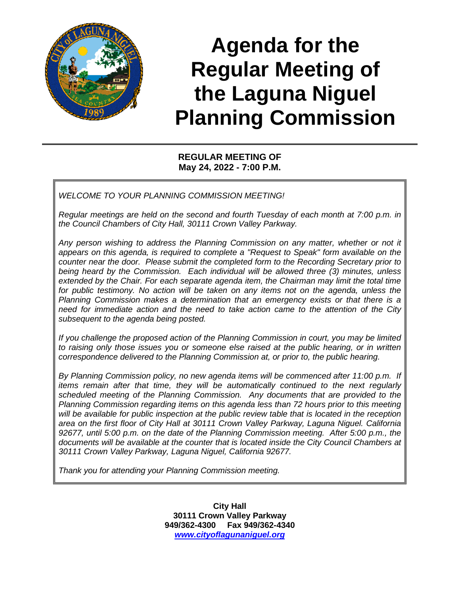

# **Agenda for the Regular Meeting of the Laguna Niguel Planning Commission**

## **REGULAR MEETING OF May 24, 2022 - 7:00 P.M.**

*WELCOME TO YOUR PLANNING COMMISSION MEETING!*

*Regular meetings are held on the second and fourth Tuesday of each month at 7:00 p.m. in the Council Chambers of City Hall, 30111 Crown Valley Parkway.* 

*Any person wishing to address the Planning Commission on any matter, whether or not it appears on this agenda, is required to complete a "Request to Speak" form available on the counter near the door. Please submit the completed form to the Recording Secretary prior to being heard by the Commission. Each individual will be allowed three (3) minutes, unless extended by the Chair. For each separate agenda item, the Chairman may limit the total time for public testimony. No action will be taken on any items not on the agenda, unless the Planning Commission makes a determination that an emergency exists or that there is a need for immediate action and the need to take action came to the attention of the City subsequent to the agenda being posted.*

*If you challenge the proposed action of the Planning Commission in court, you may be limited to raising only those issues you or someone else raised at the public hearing, or in written correspondence delivered to the Planning Commission at, or prior to, the public hearing.*

*By Planning Commission policy, no new agenda items will be commenced after 11:00 p.m. If items remain after that time, they will be automatically continued to the next regularly scheduled meeting of the Planning Commission. Any documents that are provided to the Planning Commission regarding items on this agenda less than 72 hours prior to this meeting will be available for public inspection at the public review table that is located in the reception area on the first floor of City Hall at 30111 Crown Valley Parkway, Laguna Niguel. California 92677, until 5:00 p.m. on the date of the Planning Commission meeting. After 5:00 p.m., the documents will be available at the counter that is located inside the City Council Chambers at 30111 Crown Valley Parkway, Laguna Niguel, California 92677.*

*Thank you for attending your Planning Commission meeting.*

**City Hall 30111 Crown Valley Parkway 949/362-4300 Fax 949/362-4340** *[www.cityoflagunaniguel.org](http://www.cityoflagunaniguel.org/)*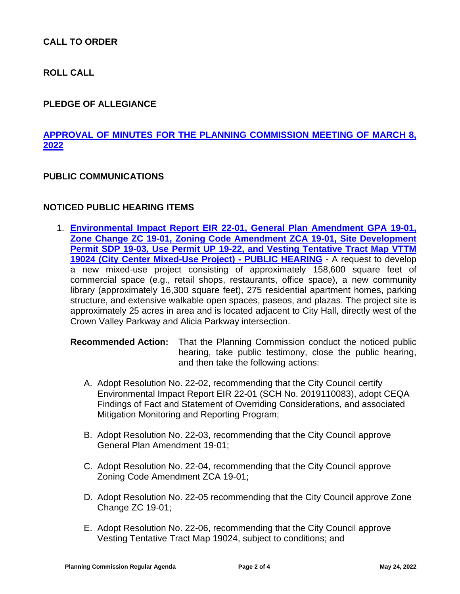## **CALL TO ORDER**

**ROLL CALL**

#### **PLEDGE OF ALLEGIANCE**

# **[APPROVAL OF MINUTES FOR THE PLANNING COMMISSION MEETING OF MARCH 8,](https://www.cityoflagunaniguel.org/DocumentCenter/View/22755/03-08-22-PC-Minutes---Draft) [2022](https://www.cityoflagunaniguel.org/DocumentCenter/View/22755/03-08-22-PC-Minutes---Draft)**

#### **PUBLIC COMMUNICATIONS**

#### **NOTICED PUBLIC HEARING ITEMS**

1. **[Environmental Impact Report EIR 22-01, General Plan Amendment GPA 19-01,](https://www.cityoflagunaniguel.org/DocumentCenter/View/22766/PC-Staff-Report---EIR-22-01-City-Center-Mixed-Use-Project-with-Attachments)  [Zone Change ZC 19-01, Zoning Code Amendment ZCA 19-01, Site Development](https://www.cityoflagunaniguel.org/DocumentCenter/View/22766/PC-Staff-Report---EIR-22-01-City-Center-Mixed-Use-Project-with-Attachments)  [Permit SDP 19-03, Use Permit UP 19-22, and Vesting Tentative Tract Map VTTM](https://www.cityoflagunaniguel.org/DocumentCenter/View/22766/PC-Staff-Report---EIR-22-01-City-Center-Mixed-Use-Project-with-Attachments)  [19024 \(City Center Mixed-Use Project\) -](https://www.cityoflagunaniguel.org/DocumentCenter/View/22766/PC-Staff-Report---EIR-22-01-City-Center-Mixed-Use-Project-with-Attachments) PUBLIC HEARING** - A request to develop a new mixed-use project consisting of approximately 158,600 square feet of commercial space (e.g., retail shops, restaurants, office space), a new community library (approximately 16,300 square feet), 275 residential apartment homes, parking structure, and extensive walkable open spaces, paseos, and plazas. The project site is approximately 25 acres in area and is located adjacent to City Hall, directly west of the Crown Valley Parkway and Alicia Parkway intersection.

**Recommended Action:** That the Planning Commission conduct the noticed public hearing, take public testimony, close the public hearing, and then take the following actions:

- A. Adopt Resolution No. 22-02, recommending that the City Council certify Environmental Impact Report EIR 22-01 (SCH No. 2019110083), adopt CEQA Findings of Fact and Statement of Overriding Considerations, and associated Mitigation Monitoring and Reporting Program;
- B. Adopt Resolution No. 22-03, recommending that the City Council approve General Plan Amendment 19-01;
- C. Adopt Resolution No. 22-04, recommending that the City Council approve Zoning Code Amendment ZCA 19-01;
- D. Adopt Resolution No. 22-05 recommending that the City Council approve Zone Change ZC 19-01;
- E. Adopt Resolution No. 22-06, recommending that the City Council approve Vesting Tentative Tract Map 19024, subject to conditions; and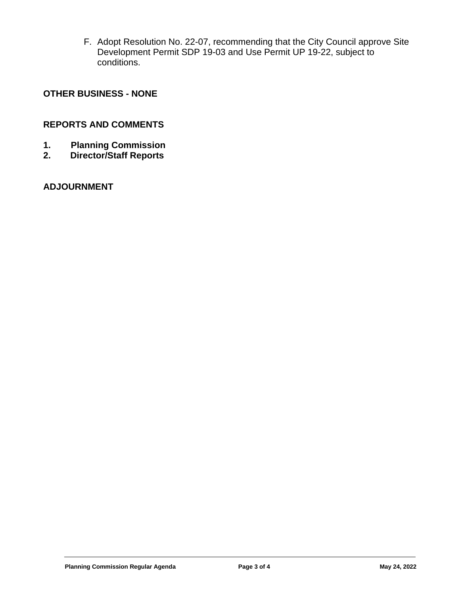F. Adopt Resolution No. 22-07, recommending that the City Council approve Site Development Permit SDP 19-03 and Use Permit UP 19-22, subject to conditions.

#### **OTHER BUSINESS - NONE**

#### **REPORTS AND COMMENTS**

- **1. Planning Commission**
- **2. Director/Staff Reports**

## **ADJOURNMENT**